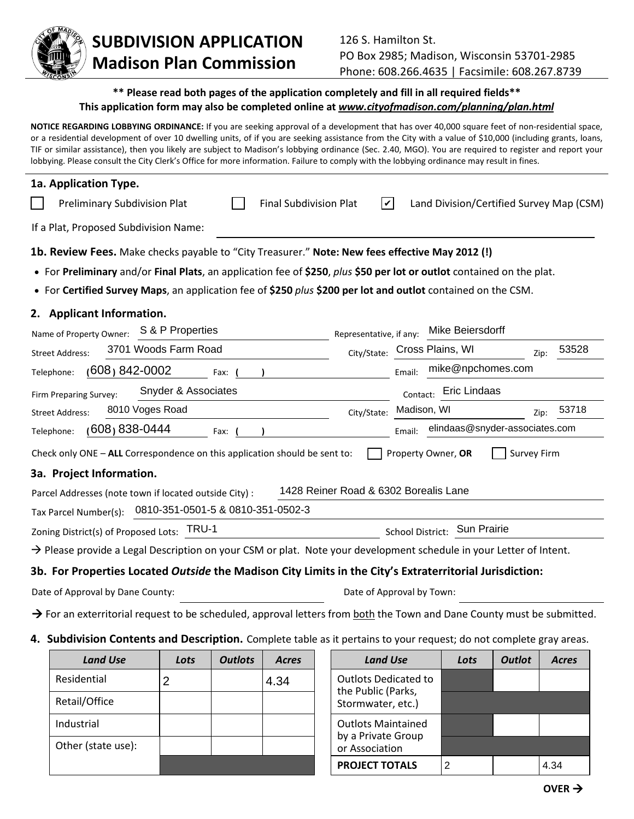

## **SUBDIVISION APPLICATION Madison Plan Commission**

## **\*\* Please read both pages of the application completely and fill in all required fields\*\* This application form may also be completed online at** *www.cityofmadison.com/planning/plan.html*

**NOTICE REGARDING LOBBYING ORDINANCE:** If you are seeking approval of a development that has over 40,000 square feet of non-residential space, or a residential development of over 10 dwelling units, of if you are seeking assistance from the City with a value of \$10,000 (including grants, loans, TIF or similar assistance), then you likely are subject to Madison's lobbying ordinance (Sec. 2.40, MGO). You are required to register and report your lobbying. Please consult the City Clerk's Office for more information. Failure to comply with the lobbying ordinance may result in fines.

| 1a. Application Type.                                                                                                          |                                       |                    |                                          |                    |
|--------------------------------------------------------------------------------------------------------------------------------|---------------------------------------|--------------------|------------------------------------------|--------------------|
| <b>Preliminary Subdivision Plat</b><br><b>Final Subdivision Plat</b>                                                           | V                                     |                    | Land Division/Certified Survey Map (CSM) |                    |
| If a Plat, Proposed Subdivision Name:                                                                                          |                                       |                    |                                          |                    |
| 1b. Review Fees. Make checks payable to "City Treasurer." Note: New fees effective May 2012 (!)                                |                                       |                    |                                          |                    |
| • For Preliminary and/or Final Plats, an application fee of \$250, plus \$50 per lot or outlot contained on the plat.          |                                       |                    |                                          |                    |
| • For Certified Survey Maps, an application fee of \$250 plus \$200 per lot and outlot contained on the CSM.                   |                                       |                    |                                          |                    |
| 2. Applicant Information.                                                                                                      |                                       |                    |                                          |                    |
| S & P Properties<br>Name of Property Owner:                                                                                    | Representative, if any:               |                    | Mike Beiersdorff                         |                    |
| 3701 Woods Farm Road<br><b>Street Address:</b>                                                                                 | City/State:                           | Cross Plains, WI   |                                          | 53528<br>Zip:      |
| $(608) 842 - 0002$<br>Telephone:<br>Fax:                                                                                       |                                       | Email:             | mike@npchomes.com                        |                    |
| Snyder & Associates<br>Firm Preparing Survey:                                                                                  |                                       | Contact:           | <b>Eric Lindaas</b>                      |                    |
| 8010 Voges Road<br><b>Street Address:</b>                                                                                      | City/State:                           | Madison, WI        |                                          | 53718<br>Zip:      |
| 838-0444 (608)<br>Telephone:<br>Fax:                                                                                           |                                       | Email:             | elindaas@snyder-associates.com           |                    |
| Check only ONE - ALL Correspondence on this application should be sent to:                                                     |                                       | Property Owner, OR |                                          | <b>Survey Firm</b> |
| 3a. Project Information.                                                                                                       |                                       |                    |                                          |                    |
| Parcel Addresses (note town if located outside City) :                                                                         | 1428 Reiner Road & 6302 Borealis Lane |                    |                                          |                    |
| 0810-351-0501-5 & 0810-351-0502-3<br>Tax Parcel Number(s):                                                                     |                                       |                    |                                          |                    |
| Zoning District(s) of Proposed Lots: TRU-1                                                                                     |                                       | School District:   | <b>Sun Prairie</b>                       |                    |
| $\rightarrow$ Please provide a Legal Description on your CSM or plat. Note your development schedule in your Letter of Intent. |                                       |                    |                                          |                    |
| 3b. For Properties Located Outside the Madison City Limits in the City's Extraterritorial Jurisdiction:                        |                                       |                    |                                          |                    |
| Date of Approval by Dane County:                                                                                               | Date of Approval by Town:             |                    |                                          |                    |
|                                                                                                                                |                                       |                    |                                          |                    |

 $\rightarrow$  For an exterritorial request to be scheduled, approval letters from both the Town and Dane County must be submitted.

**4. Subdivision Contents and Description.** Complete table as it pertains to your request; do not complete gray areas.

| <b>Land Use</b>    | Lots | <b>Outlots</b> | <b>Acres</b> | <b>Land Use</b>                         | Lots | <b>Outlot</b> | <b>Acres</b> |
|--------------------|------|----------------|--------------|-----------------------------------------|------|---------------|--------------|
| Residential        | 2    |                | 4.34         | <b>Outlots Dedicated to</b>             |      |               |              |
| Retail/Office      |      |                |              | the Public (Parks,<br>Stormwater, etc.) |      |               |              |
| Industrial         |      |                |              | <b>Outlots Maintained</b>               |      |               |              |
| Other (state use): |      |                |              | by a Private Group<br>or Association    |      |               |              |
|                    |      |                |              | <b>PROJECT TOTALS</b>                   |      |               | 4.34         |